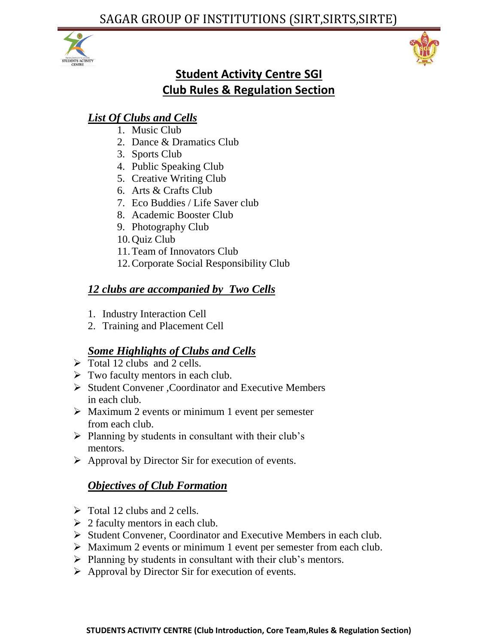



# **Student Activity Centre SGI Club Rules & Regulation Section**

# *List Of Clubs and Cells*

- 1. Music Club
- 2. Dance & Dramatics Club
- 3. Sports Club
- 4. Public Speaking Club
- 5. Creative Writing Club
- 6. Arts & Crafts Club
- 7. Eco Buddies / Life Saver club
- 8. Academic Booster Club
- 9. Photography Club
- 10.Quiz Club
- 11.Team of Innovators Club
- 12.Corporate Social Responsibility Club

# *12 clubs are accompanied by Two Cells*

- 1. Industry Interaction Cell
- 2. Training and Placement Cell

# *Some Highlights of Clubs and Cells*

- $\triangleright$  Total 12 clubs and 2 cells.
- $\triangleright$  Two faculty mentors in each club.
- Student Convener , Coordinator and Executive Members in each club.
- $\triangleright$  Maximum 2 events or minimum 1 event per semester from each club.
- $\triangleright$  Planning by students in consultant with their club's mentors.
- $\triangleright$  Approval by Director Sir for execution of events.

# *Objectives of Club Formation*

- $\triangleright$  Total 12 clubs and 2 cells.
- $\geq 2$  faculty mentors in each club.
- Student Convener, Coordinator and Executive Members in each club.
- Maximum 2 events or minimum 1 event per semester from each club.
- $\triangleright$  Planning by students in consultant with their club's mentors.
- $\triangleright$  Approval by Director Sir for execution of events.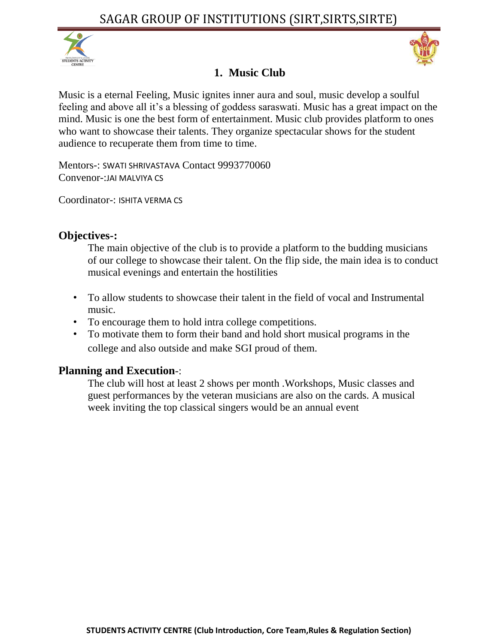



# **1. Music Club**

Music is a eternal Feeling, Music ignites inner aura and soul, music develop a soulful feeling and above all it's a blessing of goddess saraswati. Music has a great impact on the mind. Music is one the best form of entertainment. Music club provides platform to ones who want to showcase their talents. They organize spectacular shows for the student audience to recuperate them from time to time.

Mentors-: SWATI SHRIVASTAVA Contact 9993770060 Convenor-:JAI MALVIYA CS

Coordinator-: ISHITA VERMA CS

## **Objectives-:**

The main objective of the club is to provide a platform to the budding musicians of our college to showcase their talent. On the flip side, the main idea is to conduct musical evenings and entertain the hostilities

- To allow students to showcase their talent in the field of vocal and Instrumental music.
- To encourage them to hold intra college competitions.
- To motivate them to form their band and hold short musical programs in the college and also outside and make SGI proud of them.

## **Planning and Execution**-:

The club will host at least 2 shows per month .Workshops, Music classes and guest performances by the veteran musicians are also on the cards. A musical week inviting the top classical singers would be an annual event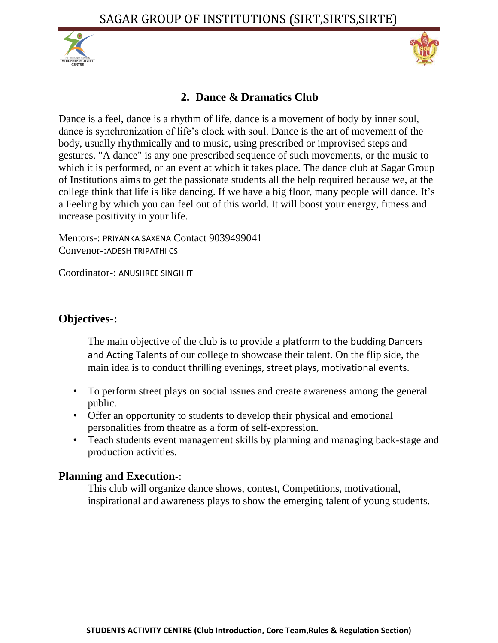



## **2. Dance & Dramatics Club**

Dance is a feel, dance is a rhythm of life, dance is a movement of body by inner soul, dance is synchronization of life's clock with soul. Dance is the art of movement of the body, usually rhythmically and to music, using prescribed or improvised steps and gestures. "A dance" is any one prescribed sequence of such movements, or the music to which it is performed, or an event at which it takes place. The dance club at Sagar Group of Institutions aims to get the passionate students all the help required because we, at the college think that life is like dancing. If we have a big floor, many people will dance. It's a Feeling by which you can feel out of this world. It will boost your energy, fitness and increase positivity in your life.

Mentors-: PRIYANKA SAXENA Contact 9039499041 Convenor-:ADESH TRIPATHI CS

Coordinator-: ANUSHREE SINGH IT

#### **Objectives-:**

The main objective of the club is to provide a platform to the budding Dancers and Acting Talents of our college to showcase their talent. On the flip side, the main idea is to conduct thrilling evenings, street plays, motivational events.

- To perform street plays on social issues and create awareness among the general public.
- Offer an opportunity to students to develop their physical and emotional personalities from theatre as a form of self-expression.
- Teach students event management skills by planning and managing back-stage and production activities.

#### **Planning and Execution**-:

This club will organize dance shows, contest, Competitions, motivational, inspirational and awareness plays to show the emerging talent of young students.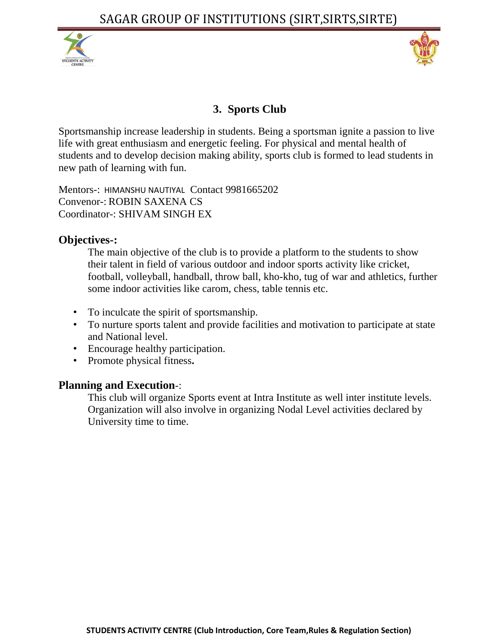



# **3. Sports Club**

Sportsmanship increase leadership in students. Being a sportsman ignite a passion to live life with great enthusiasm and energetic feeling. For physical and mental health of students and to develop decision making ability, sports club is formed to lead students in new path of learning with fun.

Mentors-: HIMANSHU NAUTIYAL Contact 9981665202 Convenor-: ROBIN SAXENA CS Coordinator-: SHIVAM SINGH EX

#### **Objectives-:**

The main objective of the club is to provide a platform to the students to show their talent in field of various outdoor and indoor sports activity like cricket, football, volleyball, handball, throw ball, kho-kho, tug of war and athletics, further some indoor activities like carom, chess, table tennis etc.

- To inculcate the spirit of sportsmanship.
- To nurture sports talent and provide facilities and motivation to participate at state and National level.
- Encourage healthy participation.
- Promote physical fitness**.**

#### **Planning and Execution**-:

This club will organize Sports event at Intra Institute as well inter institute levels. Organization will also involve in organizing Nodal Level activities declared by University time to time.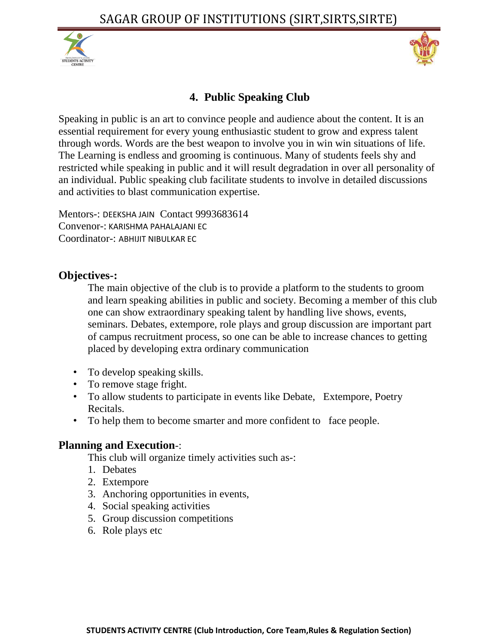



# **4. Public Speaking Club**

Speaking in public is an art to convince people and audience about the content. It is an essential requirement for every young enthusiastic student to grow and express talent through words. Words are the best weapon to involve you in win win situations of life. The Learning is endless and grooming is continuous. Many of students feels shy and restricted while speaking in public and it will result degradation in over all personality of an individual. Public speaking club facilitate students to involve in detailed discussions and activities to blast communication expertise.

Mentors-: DEEKSHA JAIN Contact 9993683614 Convenor-: KARISHMA PAHALAJANI EC Coordinator-: ABHIJIT NIBULKAR EC

#### **Objectives-:**

The main objective of the club is to provide a platform to the students to groom and learn speaking abilities in public and society. Becoming a member of this club one can show extraordinary speaking talent by handling live shows, events, seminars. Debates, extempore, role plays and group discussion are important part of campus recruitment process, so one can be able to increase chances to getting placed by developing extra ordinary communication

- To develop speaking skills.
- To remove stage fright.
- To allow students to participate in events like Debate, Extempore, Poetry Recitals.
- To help them to become smarter and more confident to face people.

## **Planning and Execution**-:

- 1. Debates
- 2. Extempore
- 3. Anchoring opportunities in events,
- 4. Social speaking activities
- 5. Group discussion competitions
- 6. Role plays etc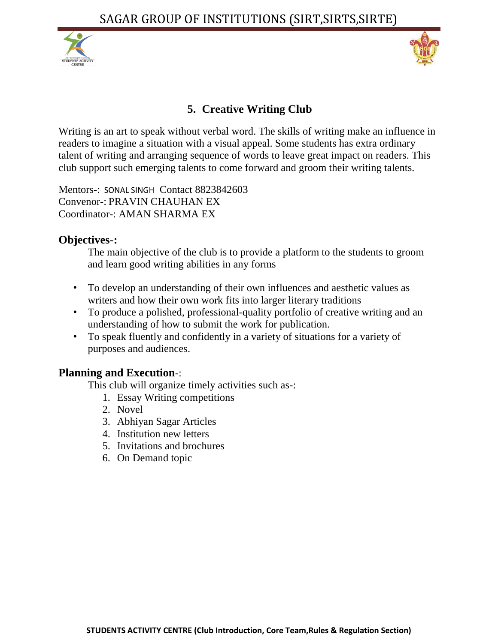



# **5. Creative Writing Club**

Writing is an art to speak without verbal word. The skills of writing make an influence in readers to imagine a situation with a visual appeal. Some students has extra ordinary talent of writing and arranging sequence of words to leave great impact on readers. This club support such emerging talents to come forward and groom their writing talents.

Mentors-: SONAL SINGH Contact 8823842603 Convenor-: PRAVIN CHAUHAN EX Coordinator-: AMAN SHARMA EX

#### **Objectives-:**

The main objective of the club is to provide a platform to the students to groom and learn good writing abilities in any forms

- To develop an understanding of their own influences and aesthetic values as writers and how their own work fits into larger literary traditions
- To produce a polished, professional-quality portfolio of creative writing and an understanding of how to submit the work for publication.
- To speak fluently and confidently in a variety of situations for a variety of purposes and audiences.

#### **Planning and Execution**-:

- 1. Essay Writing competitions
- 2. Novel
- 3. Abhiyan Sagar Articles
- 4. Institution new letters
- 5. Invitations and brochures
- 6. On Demand topic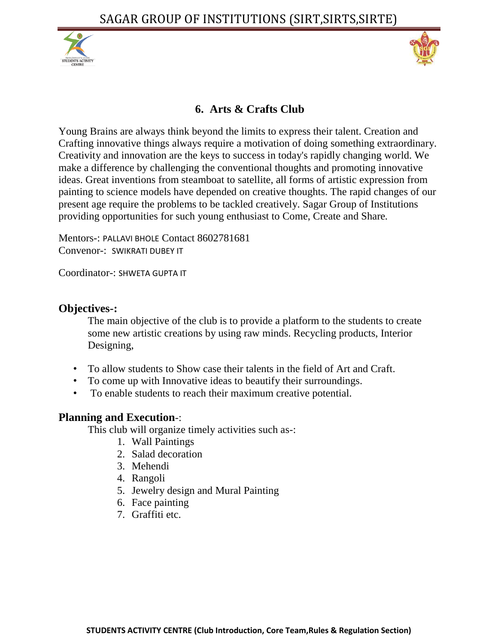



# **6. Arts & Crafts Club**

Young Brains are always think beyond the limits to express their talent. Creation and Crafting innovative things always require a motivation of doing something extraordinary. Creativity and innovation are the keys to success in today's rapidly changing world. We make a difference by challenging the conventional thoughts and promoting innovative ideas. Great inventions from steamboat to satellite, all forms of artistic expression from painting to science models have depended on creative thoughts. The rapid changes of our present age require the problems to be tackled creatively. Sagar Group of Institutions providing opportunities for such young enthusiast to Come, Create and Share*.*

Mentors-: PALLAVI BHOLE Contact 8602781681 Convenor-: SWIKRATI DUBEY IT

Coordinator-: SHWETA GUPTA IT

#### **Objectives-:**

The main objective of the club is to provide a platform to the students to create some new artistic creations by using raw minds. Recycling products, Interior Designing,

- To allow students to Show case their talents in the field of Art and Craft.
- To come up with Innovative ideas to beautify their surroundings.
- To enable students to reach their maximum creative potential.

#### **Planning and Execution**-:

- 1. Wall Paintings
- 2. Salad decoration
- 3. Mehendi
- 4. Rangoli
- 5. Jewelry design and Mural Painting
- 6. Face painting
- 7. Graffiti etc.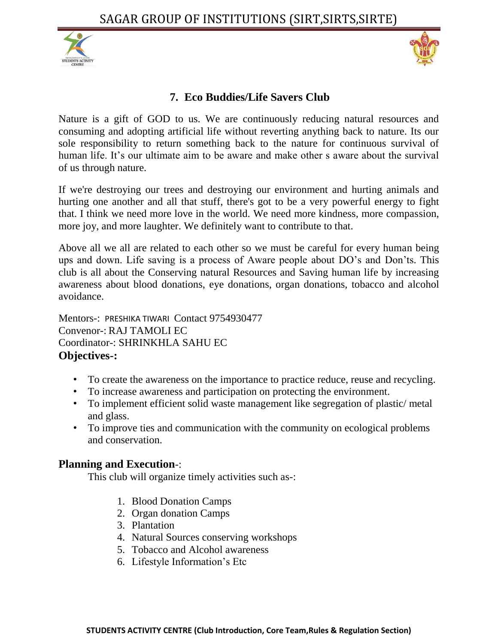



#### **7. Eco Buddies/Life Savers Club**

Nature is a gift of GOD to us. We are continuously reducing natural resources and consuming and adopting artificial life without reverting anything back to nature. Its our sole responsibility to return something back to the nature for continuous survival of human life. It's our ultimate aim to be aware and make other s aware about the survival of us through nature.

If we're destroying our trees and destroying our environment and hurting animals and hurting one another and all that stuff, there's got to be a very powerful energy to fight that. I think we need more love in the world. We need more kindness, more compassion, more joy, and more laughter. We definitely want to contribute to that.

Above all we all are related to each other so we must be careful for every human being ups and down. Life saving is a process of Aware people about DO's and Don'ts. This club is all about the Conserving natural Resources and Saving human life by increasing awareness about blood donations, eye donations, organ donations, tobacco and alcohol avoidance.

Mentors-: PRESHIKA TIWARI Contact 9754930477 Convenor-: RAJ TAMOLI EC Coordinator-: SHRINKHLA SAHU EC **Objectives-:**

- To create the awareness on the importance to practice reduce, reuse and recycling.
- To increase awareness and participation on protecting the environment.
- To implement efficient solid waste management like segregation of plastic/ metal and glass.
- To improve ties and communication with the community on ecological problems and conservation.

#### **Planning and Execution**-:

- 1. Blood Donation Camps
- 2. Organ donation Camps
- 3. Plantation
- 4. Natural Sources conserving workshops
- 5. Tobacco and Alcohol awareness
- 6. Lifestyle Information's Etc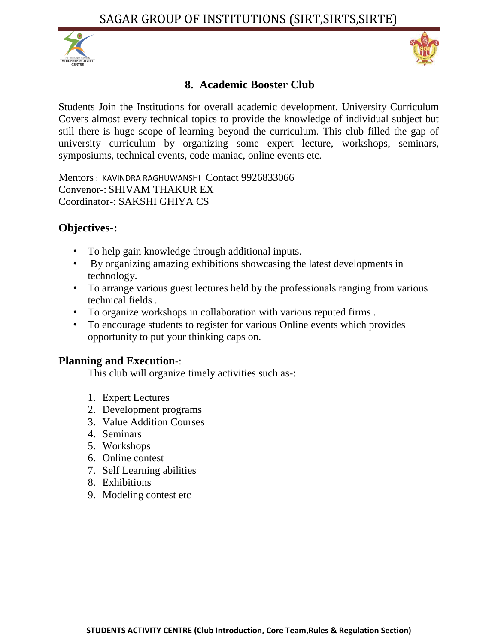



## **8. Academic Booster Club**

Students Join the Institutions for overall academic development. University Curriculum Covers almost every technical topics to provide the knowledge of individual subject but still there is huge scope of learning beyond the curriculum. This club filled the gap of university curriculum by organizing some expert lecture, workshops, seminars, symposiums, technical events, code maniac, online events etc.

Mentors : KAVINDRA RAGHUWANSHI Contact 9926833066 Convenor-: SHIVAM THAKUR EX Coordinator-: SAKSHI GHIYA CS

#### **Objectives-:**

- To help gain knowledge through additional inputs.
- By organizing amazing exhibitions showcasing the latest developments in technology.
- To arrange various guest lectures held by the professionals ranging from various technical fields .
- To organize workshops in collaboration with various reputed firms .
- To encourage students to register for various Online events which provides opportunity to put your thinking caps on.

#### **Planning and Execution**-:

- 1. Expert Lectures
- 2. Development programs
- 3. Value Addition Courses
- 4. Seminars
- 5. Workshops
- 6. Online contest
- 7. Self Learning abilities
- 8. Exhibitions
- 9. Modeling contest etc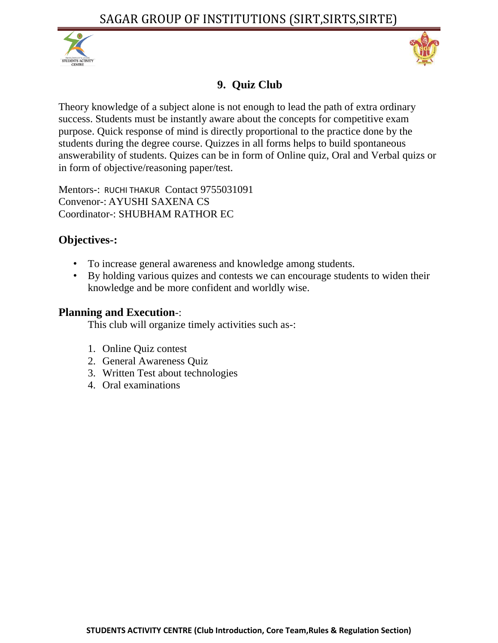



# **9. Quiz Club**

Theory knowledge of a subject alone is not enough to lead the path of extra ordinary success. Students must be instantly aware about the concepts for competitive exam purpose. Quick response of mind is directly proportional to the practice done by the students during the degree course. Quizzes in all forms helps to build spontaneous answerability of students. Quizes can be in form of Online quiz, Oral and Verbal quizs or in form of objective/reasoning paper/test.

Mentors-: RUCHI THAKUR Contact 9755031091 Convenor-: AYUSHI SAXENA CS Coordinator-: SHUBHAM RATHOR EC

# **Objectives-:**

- To increase general awareness and knowledge among students.
- By holding various quizes and contests we can encourage students to widen their knowledge and be more confident and worldly wise.

#### **Planning and Execution**-:

- 1. Online Quiz contest
- 2. General Awareness Quiz
- 3. Written Test about technologies
- 4. Oral examinations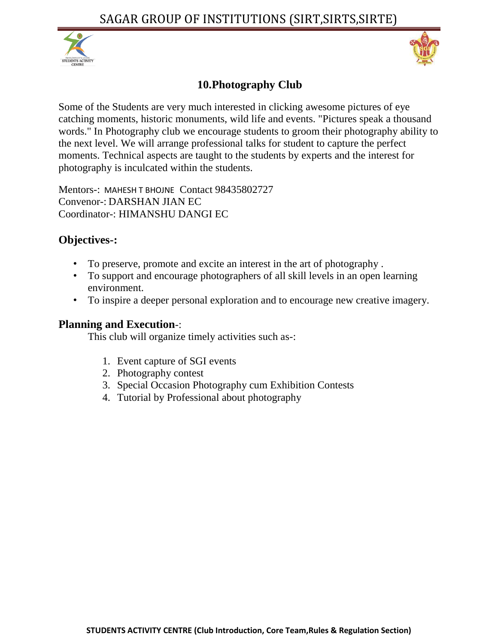



# **10.Photography Club**

Some of the Students are very much interested in clicking awesome pictures of eye catching moments, historic monuments, wild life and events. "Pictures speak a thousand words." In Photography club we encourage students to groom their photography ability to the next level. We will arrange professional talks for student to capture the perfect moments. Technical aspects are taught to the students by experts and the interest for photography is inculcated within the students.

Mentors-: MAHESH T BHOJNE Contact 98435802727 Convenor-: DARSHAN JIAN EC Coordinator-: HIMANSHU DANGI EC

## **Objectives-:**

- To preserve, promote and excite an interest in the art of photography .
- To support and encourage photographers of all skill levels in an open learning environment.
- To inspire a deeper personal exploration and to encourage new creative imagery.

#### **Planning and Execution**-:

- 1. Event capture of SGI events
- 2. Photography contest
- 3. Special Occasion Photography cum Exhibition Contests
- 4. Tutorial by Professional about photography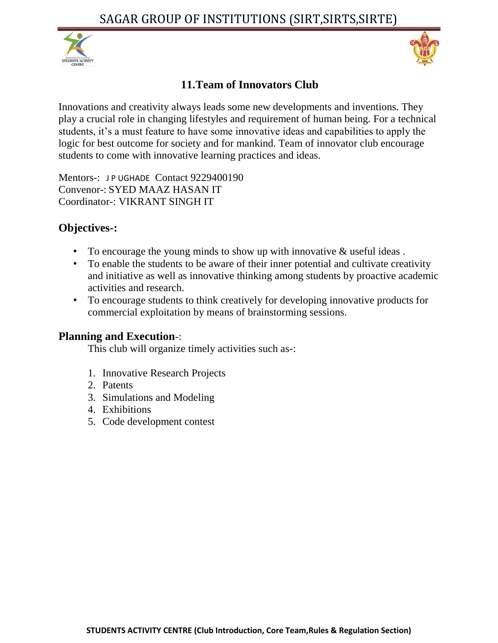



## **11.Team of Innovators Club**

Innovations and creativity always leads some new developments and inventions. They play a crucial role in changing lifestyles and requirement of human being. For a technical students, it's a must feature to have some innovative ideas and capabilities to apply the logic for best outcome for society and for mankind. Team of innovator club encourage students to come with innovative learning practices and ideas.

Mentors-: JP UGHADE Contact 9229400190 Convenor-: SYED MAAZ HASAN IT Coordinator-: VIKRANT SINGH IT

## **Objectives-:**

- To encourage the young minds to show up with innovative & useful ideas .
- To enable the students to be aware of their inner potential and cultivate creativity and initiative as well as innovative thinking among students by proactive academic activities and research.
- To encourage students to think creatively for developing innovative products for commercial exploitation by means of brainstorming sessions.

#### **Planning and Execution**-:

- 1. Innovative Research Projects
- 2. Patents
- 3. Simulations and Modeling
- 4. Exhibitions
- 5. Code development contest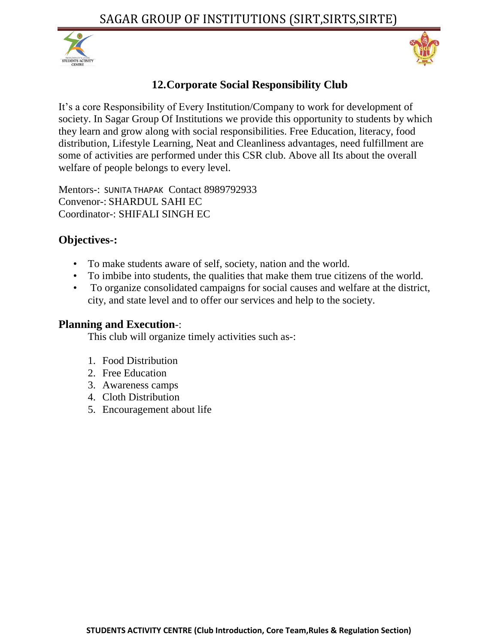



# **12.Corporate Social Responsibility Club**

It's a core Responsibility of Every Institution/Company to work for development of society. In Sagar Group Of Institutions we provide this opportunity to students by which they learn and grow along with social responsibilities. Free Education, literacy, food distribution, Lifestyle Learning, Neat and Cleanliness advantages, need fulfillment are some of activities are performed under this CSR club. Above all Its about the overall welfare of people belongs to every level.

Mentors-: SUNITA THAPAK Contact 8989792933 Convenor-: SHARDUL SAHI EC Coordinator-: SHIFALI SINGH EC

# **Objectives-:**

- To make students aware of self, society, nation and the world.
- To imbibe into students, the qualities that make them true citizens of the world.
- To organize consolidated campaigns for social causes and welfare at the district, city, and state level and to offer our services and help to the society.

#### **Planning and Execution**-:

- 1. Food Distribution
- 2. Free Education
- 3. Awareness camps
- 4. Cloth Distribution
- 5. Encouragement about life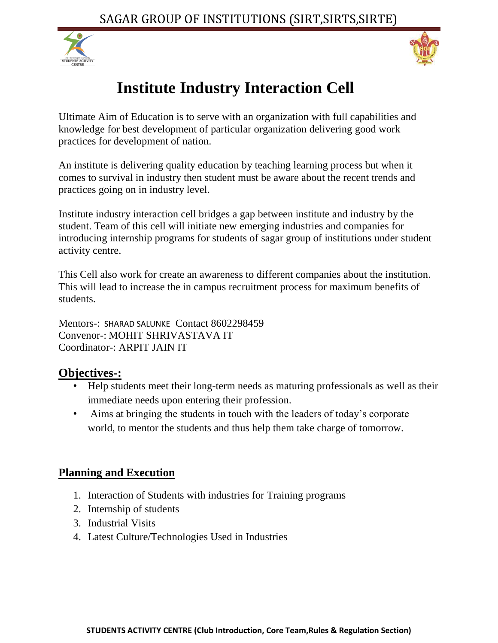



# **Institute Industry Interaction Cell**

Ultimate Aim of Education is to serve with an organization with full capabilities and knowledge for best development of particular organization delivering good work practices for development of nation.

An institute is delivering quality education by teaching learning process but when it comes to survival in industry then student must be aware about the recent trends and practices going on in industry level.

Institute industry interaction cell bridges a gap between institute and industry by the student. Team of this cell will initiate new emerging industries and companies for introducing internship programs for students of sagar group of institutions under student activity centre.

This Cell also work for create an awareness to different companies about the institution. This will lead to increase the in campus recruitment process for maximum benefits of students.

Mentors-: SHARAD SALUNKE Contact 8602298459 Convenor-: MOHIT SHRIVASTAVA IT Coordinator-: ARPIT JAIN IT

# **Objectives-:**

- Help students meet their long-term needs as maturing professionals as well as their immediate needs upon entering their profession.
- Aims at bringing the students in touch with the leaders of today's corporate world, to mentor the students and thus help them take charge of tomorrow.

# **Planning and Execution**

- 1. Interaction of Students with industries for Training programs
- 2. Internship of students
- 3. Industrial Visits
- 4. Latest Culture/Technologies Used in Industries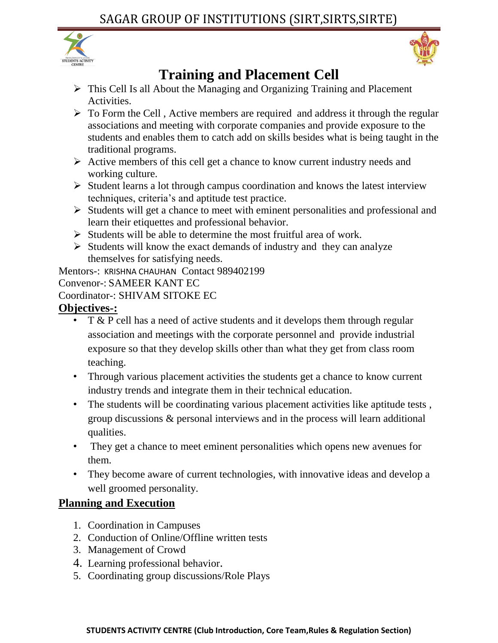



# **Training and Placement Cell**

- This Cell Is all About the Managing and Organizing Training and Placement Activities.
- $\triangleright$  To Form the Cell, Active members are required and address it through the regular associations and meeting with corporate companies and provide exposure to the students and enables them to catch add on skills besides what is being taught in the traditional programs.
- $\triangleright$  Active members of this cell get a chance to know current industry needs and working culture.
- $\triangleright$  Student learns a lot through campus coordination and knows the latest interview techniques, criteria's and aptitude test practice.
- $\triangleright$  Students will get a chance to meet with eminent personalities and professional and learn their etiquettes and professional behavior.
- $\triangleright$  Students will be able to determine the most fruitful area of work.
- $\triangleright$  Students will know the exact demands of industry and they can analyze themselves for satisfying needs.

Mentors-: KRISHNA CHAUHAN Contact 989402199

Convenor-: SAMEER KANT EC

Coordinator-: SHIVAM SITOKE EC

## **Objectives-:**

- T & P cell has a need of active students and it develops them through regular association and meetings with the corporate personnel and provide industrial exposure so that they develop skills other than what they get from class room teaching.
- Through various placement activities the students get a chance to know current industry trends and integrate them in their technical education.
- The students will be coordinating various placement activities like aptitude tests, group discussions & personal interviews and in the process will learn additional qualities.
- They get a chance to meet eminent personalities which opens new avenues for them.
- They become aware of current technologies, with innovative ideas and develop a well groomed personality.

# **Planning and Execution**

- 1. Coordination in Campuses
- 2. Conduction of Online/Offline written tests
- 3. Management of Crowd
- 4. Learning professional behavior.
- 5. Coordinating group discussions/Role Plays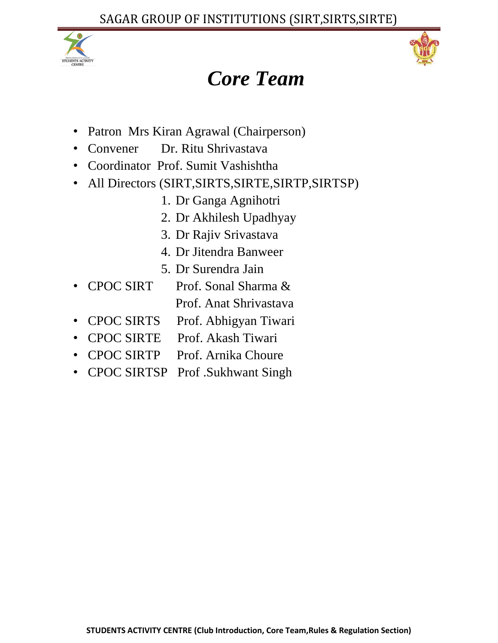



# *Core Team*

- Patron Mrs Kiran Agrawal (Chairperson)
- Convener Dr. Ritu Shrivastava
- Coordinator Prof. Sumit Vashishtha
- All Directors (SIRT,SIRTS,SIRTE,SIRTP,SIRTSP)
	- 1. Dr Ganga Agnihotri
	- 2. Dr Akhilesh Upadhyay
	- 3. Dr Rajiv Srivastava
	- 4. Dr Jitendra Banweer
	- 5. Dr Surendra Jain
- CPOC SIRT Prof. Sonal Sharma &
	- Prof. Anat Shrivastava
- CPOC SIRTS Prof. Abhigyan Tiwari
- CPOC SIRTE Prof. Akash Tiwari
- CPOC SIRTP Prof. Arnika Choure
- CPOC SIRTSP Prof .Sukhwant Singh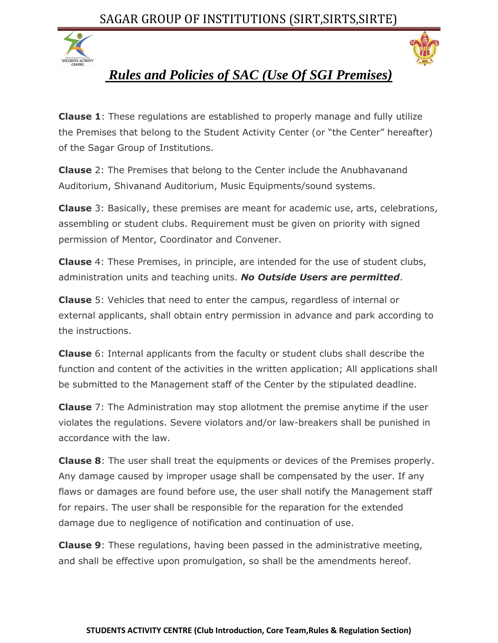# SAGAR GROUP OF INSTITUTIONS (SIRT,SIRTS,SIRTE)





# *Rules and Policies of SAC (Use Of SGI Premises)*

**Clause 1**: These regulations are established to properly manage and fully utilize the Premises that belong to the Student Activity Center (or "the Center" hereafter) of the Sagar Group of Institutions.

**Clause** 2: The Premises that belong to the Center include the Anubhavanand Auditorium, Shivanand Auditorium, Music Equipments/sound systems.

**Clause** 3: Basically, these premises are meant for academic use, arts, celebrations, assembling or student clubs. Requirement must be given on priority with signed permission of Mentor, Coordinator and Convener.

**Clause** 4: These Premises, in principle, are intended for the use of student clubs, administration units and teaching units. *No Outside Users are permitted*.

**Clause** 5: Vehicles that need to enter the campus, regardless of internal or external applicants, shall obtain entry permission in advance and park according to the instructions.

**Clause** 6: Internal applicants from the faculty or student clubs shall describe the function and content of the activities in the written application; All applications shall be submitted to the Management staff of the Center by the stipulated deadline.

**Clause** 7: The Administration may stop allotment the premise anytime if the user violates the regulations. Severe violators and/or law-breakers shall be punished in accordance with the law.

**Clause 8**: The user shall treat the equipments or devices of the Premises properly. Any damage caused by improper usage shall be compensated by the user. If any flaws or damages are found before use, the user shall notify the Management staff for repairs. The user shall be responsible for the reparation for the extended damage due to negligence of notification and continuation of use.

**Clause 9**: These regulations, having been passed in the administrative meeting, and shall be effective upon promulgation, so shall be the amendments hereof.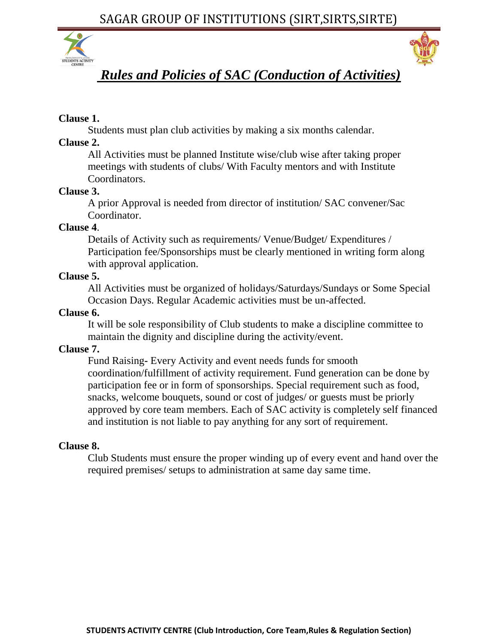SAGAR GROUP OF INSTITUTIONS (SIRT,SIRTS,SIRTE)





# *Rules and Policies of SAC (Conduction of Activities)*

#### **Clause 1.**

Students must plan club activities by making a six months calendar.

#### **Clause 2.**

All Activities must be planned Institute wise/club wise after taking proper meetings with students of clubs/ With Faculty mentors and with Institute Coordinators.

#### **Clause 3.**

A prior Approval is needed from director of institution/ SAC convener/Sac Coordinator.

#### **Clause 4**.

Details of Activity such as requirements/ Venue/Budget/ Expenditures / Participation fee/Sponsorships must be clearly mentioned in writing form along with approval application.

#### **Clause 5.**

All Activities must be organized of holidays/Saturdays/Sundays or Some Special Occasion Days. Regular Academic activities must be un-affected.

#### **Clause 6.**

It will be sole responsibility of Club students to make a discipline committee to maintain the dignity and discipline during the activity/event.

#### **Clause 7.**

Fund Raising**-** Every Activity and event needs funds for smooth coordination/fulfillment of activity requirement. Fund generation can be done by participation fee or in form of sponsorships. Special requirement such as food, snacks, welcome bouquets, sound or cost of judges/ or guests must be priorly approved by core team members. Each of SAC activity is completely self financed and institution is not liable to pay anything for any sort of requirement.

#### **Clause 8.**

Club Students must ensure the proper winding up of every event and hand over the required premises/ setups to administration at same day same time.